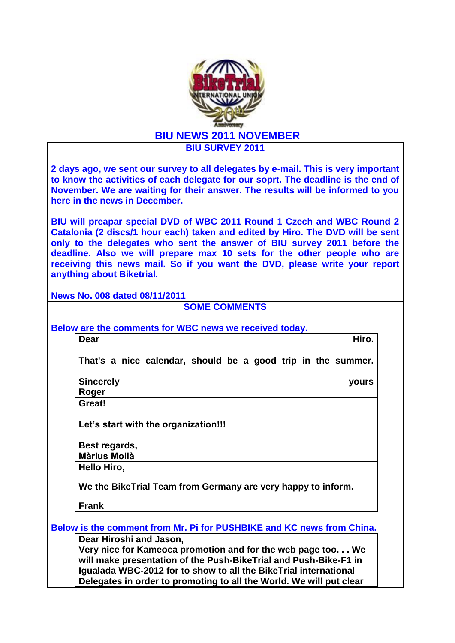